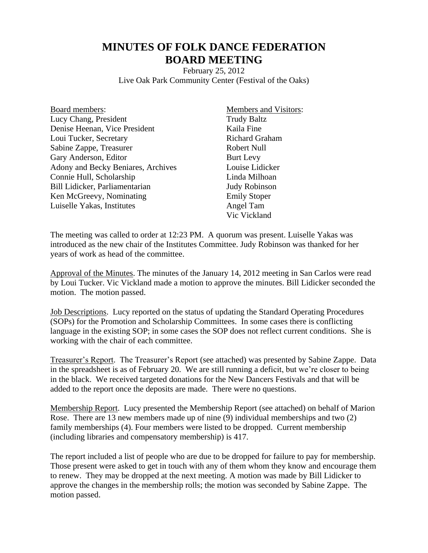## **MINUTES OF FOLK DANCE FEDERATION BOARD MEETING**

February 25, 2012 Live Oak Park Community Center (Festival of the Oaks)

| Board members:                     |
|------------------------------------|
| Lucy Chang, President              |
| Denise Heenan, Vice President      |
| Loui Tucker, Secretary             |
| Sabine Zappe, Treasurer            |
| Gary Anderson, Editor              |
| Adony and Becky Beniares, Archives |
| Connie Hull, Scholarship           |
| Bill Lidicker, Parliamentarian     |
| Ken McGreevy, Nominating           |
| Luiselle Yakas, Institutes         |

Members and Visitors: Trudy Baltz Kaila Fine Richard Graham Robert Null Burt Levy Louise Lidicker Linda Milhoan Judy Robinson Emily Stoper Angel Tam Vic Vickland

The meeting was called to order at 12:23 PM. A quorum was present. Luiselle Yakas was introduced as the new chair of the Institutes Committee. Judy Robinson was thanked for her years of work as head of the committee.

Approval of the Minutes. The minutes of the January 14, 2012 meeting in San Carlos were read by Loui Tucker. Vic Vickland made a motion to approve the minutes. Bill Lidicker seconded the motion. The motion passed.

Job Descriptions. Lucy reported on the status of updating the Standard Operating Procedures (SOPs) for the Promotion and Scholarship Committees. In some cases there is conflicting language in the existing SOP; in some cases the SOP does not reflect current conditions. She is working with the chair of each committee.

Treasurer's Report. The Treasurer's Report (see attached) was presented by Sabine Zappe. Data in the spreadsheet is as of February 20. We are still running a deficit, but we're closer to being in the black. We received targeted donations for the New Dancers Festivals and that will be added to the report once the deposits are made. There were no questions.

Membership Report. Lucy presented the Membership Report (see attached) on behalf of Marion Rose. There are 13 new members made up of nine (9) individual memberships and two (2) family memberships (4). Four members were listed to be dropped. Current membership (including libraries and compensatory membership) is 417.

The report included a list of people who are due to be dropped for failure to pay for membership. Those present were asked to get in touch with any of them whom they know and encourage them to renew. They may be dropped at the next meeting. A motion was made by Bill Lidicker to approve the changes in the membership rolls; the motion was seconded by Sabine Zappe. The motion passed.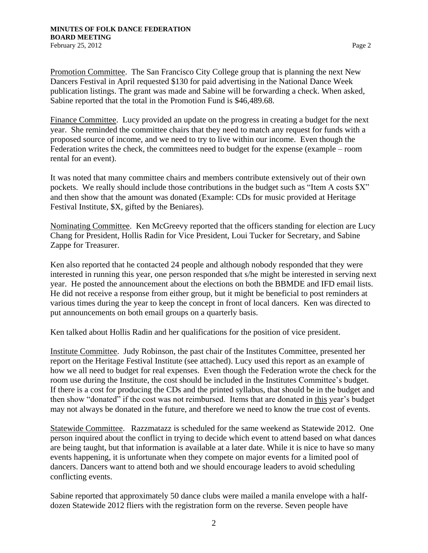Promotion Committee. The San Francisco City College group that is planning the next New Dancers Festival in April requested \$130 for paid advertising in the National Dance Week publication listings. The grant was made and Sabine will be forwarding a check. When asked, Sabine reported that the total in the Promotion Fund is \$46,489.68.

Finance Committee. Lucy provided an update on the progress in creating a budget for the next year. She reminded the committee chairs that they need to match any request for funds with a proposed source of income, and we need to try to live within our income. Even though the Federation writes the check, the committees need to budget for the expense (example – room rental for an event).

It was noted that many committee chairs and members contribute extensively out of their own pockets. We really should include those contributions in the budget such as "Item A costs \$X" and then show that the amount was donated (Example: CDs for music provided at Heritage Festival Institute, \$X, gifted by the Beniares).

Nominating Committee. Ken McGreevy reported that the officers standing for election are Lucy Chang for President, Hollis Radin for Vice President, Loui Tucker for Secretary, and Sabine Zappe for Treasurer.

Ken also reported that he contacted 24 people and although nobody responded that they were interested in running this year, one person responded that s/he might be interested in serving next year. He posted the announcement about the elections on both the BBMDE and IFD email lists. He did not receive a response from either group, but it might be beneficial to post reminders at various times during the year to keep the concept in front of local dancers. Ken was directed to put announcements on both email groups on a quarterly basis.

Ken talked about Hollis Radin and her qualifications for the position of vice president.

Institute Committee. Judy Robinson, the past chair of the Institutes Committee, presented her report on the Heritage Festival Institute (see attached). Lucy used this report as an example of how we all need to budget for real expenses. Even though the Federation wrote the check for the room use during the Institute, the cost should be included in the Institutes Committee's budget. If there is a cost for producing the CDs and the printed syllabus, that should be in the budget and then show "donated" if the cost was not reimbursed. Items that are donated in this year's budget may not always be donated in the future, and therefore we need to know the true cost of events.

Statewide Committee. Razzmatazz is scheduled for the same weekend as Statewide 2012. One person inquired about the conflict in trying to decide which event to attend based on what dances are being taught, but that information is available at a later date. While it is nice to have so many events happening, it is unfortunate when they compete on major events for a limited pool of dancers. Dancers want to attend both and we should encourage leaders to avoid scheduling conflicting events.

Sabine reported that approximately 50 dance clubs were mailed a manila envelope with a halfdozen Statewide 2012 fliers with the registration form on the reverse. Seven people have